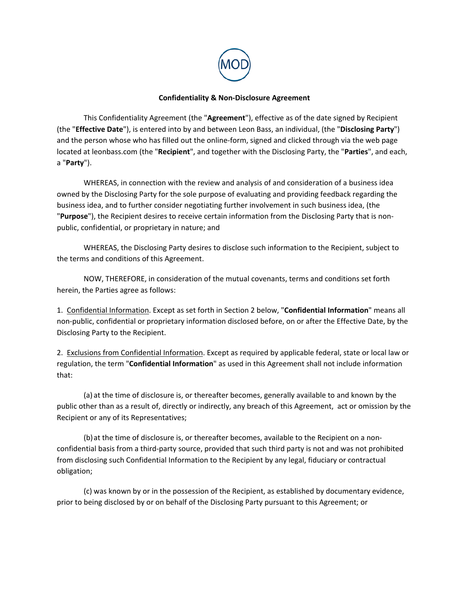

## **Confidentiality & Non-Disclosure Agreement**

This Confidentiality Agreement (the "**Agreement**"), effective as of the date signed by Recipient (the "**Effective Date**"), is entered into by and between Leon Bass, an individual, (the "**Disclosing Party**") and the person whose who has filled out the online-form, signed and clicked through via the web page located at leonbass.com (the "**Recipient**", and together with the Disclosing Party, the "**Parties**", and each, a "**Party**").

WHEREAS, in connection with the review and analysis of and consideration of a business idea owned by the Disclosing Party for the sole purpose of evaluating and providing feedback regarding the business idea, and to further consider negotiating further involvement in such business idea, (the "**Purpose**"), the Recipient desires to receive certain information from the Disclosing Party that is nonpublic, confidential, or proprietary in nature; and

WHEREAS, the Disclosing Party desires to disclose such information to the Recipient, subject to the terms and conditions of this Agreement.

NOW, THEREFORE, in consideration of the mutual covenants, terms and conditions set forth herein, the Parties agree as follows:

1. Confidential Information. Except as set forth in Section 2 below, "**Confidential Information**" means all non-public, confidential or proprietary information disclosed before, on or after the Effective Date, by the Disclosing Party to the Recipient.

2. Exclusions from Confidential Information. Except as required by applicable federal, state or local law or regulation, the term "**Confidential Information**" as used in this Agreement shall not include information that:

(a) at the time of disclosure is, or thereafter becomes, generally available to and known by the public other than as a result of, directly or indirectly, any breach of this Agreement, act or omission by the Recipient or any of its Representatives;

(b)at the time of disclosure is, or thereafter becomes, available to the Recipient on a nonconfidential basis from a third-party source, provided that such third party is not and was not prohibited from disclosing such Confidential Information to the Recipient by any legal, fiduciary or contractual obligation;

(c) was known by or in the possession of the Recipient, as established by documentary evidence, prior to being disclosed by or on behalf of the Disclosing Party pursuant to this Agreement; or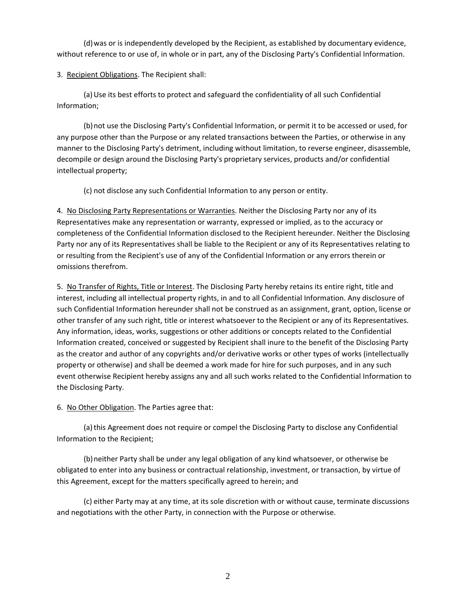(d)was or is independently developed by the Recipient, as established by documentary evidence, without reference to or use of, in whole or in part, any of the Disclosing Party's Confidential Information.

3. Recipient Obligations. The Recipient shall:

(a)Use its best efforts to protect and safeguard the confidentiality of all such Confidential Information;

(b)not use the Disclosing Party's Confidential Information, or permit it to be accessed or used, for any purpose other than the Purpose or any related transactions between the Parties, or otherwise in any manner to the Disclosing Party's detriment, including without limitation, to reverse engineer, disassemble, decompile or design around the Disclosing Party's proprietary services, products and/or confidential intellectual property;

(c) not disclose any such Confidential Information to any person or entity.

4. No Disclosing Party Representations or Warranties. Neither the Disclosing Party nor any of its Representatives make any representation or warranty, expressed or implied, as to the accuracy or completeness of the Confidential Information disclosed to the Recipient hereunder. Neither the Disclosing Party nor any of its Representatives shall be liable to the Recipient or any of its Representatives relating to or resulting from the Recipient's use of any of the Confidential Information or any errors therein or omissions therefrom.

5. No Transfer of Rights, Title or Interest. The Disclosing Party hereby retains its entire right, title and interest, including all intellectual property rights, in and to all Confidential Information. Any disclosure of such Confidential Information hereunder shall not be construed as an assignment, grant, option, license or other transfer of any such right, title or interest whatsoever to the Recipient or any of its Representatives. Any information, ideas, works, suggestions or other additions or concepts related to the Confidential Information created, conceived or suggested by Recipient shall inure to the benefit of the Disclosing Party as the creator and author of any copyrights and/or derivative works or other types of works (intellectually property or otherwise) and shall be deemed a work made for hire for such purposes, and in any such event otherwise Recipient hereby assigns any and all such works related to the Confidential Information to the Disclosing Party.

6. No Other Obligation. The Parties agree that:

(a)this Agreement does not require or compel the Disclosing Party to disclose any Confidential Information to the Recipient;

(b)neither Party shall be under any legal obligation of any kind whatsoever, or otherwise be obligated to enter into any business or contractual relationship, investment, or transaction, by virtue of this Agreement, except for the matters specifically agreed to herein; and

(c) either Party may at any time, at its sole discretion with or without cause, terminate discussions and negotiations with the other Party, in connection with the Purpose or otherwise.